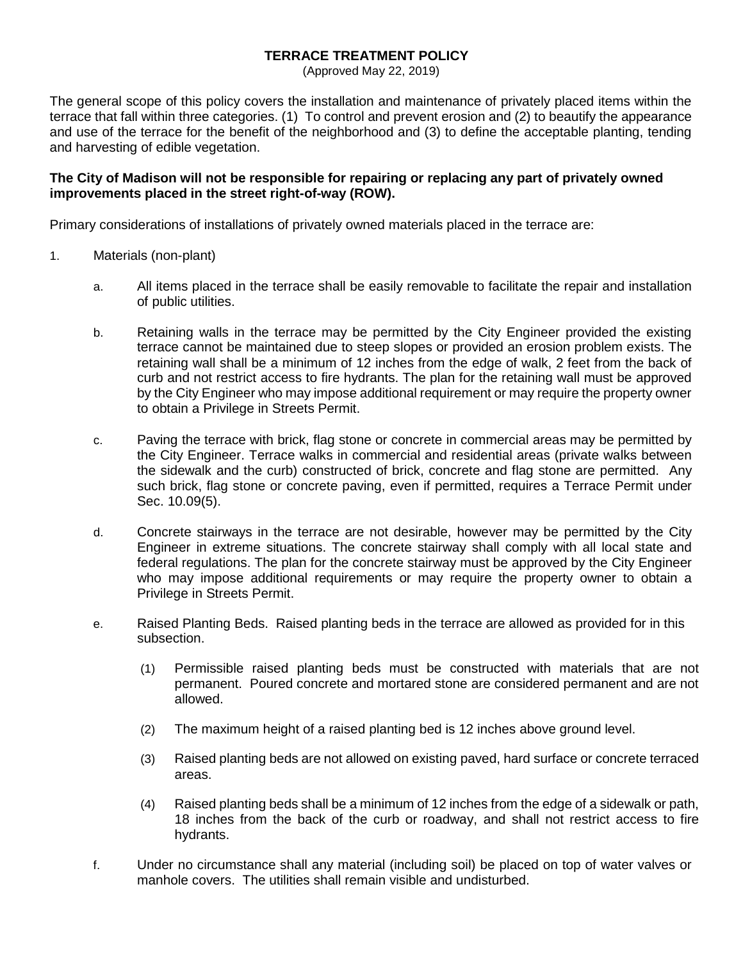## **TERRACE TREATMENT POLICY**

(Approved May 22, 2019)

The general scope of this policy covers the installation and maintenance of privately placed items within the terrace that fall within three categories. (1) To control and prevent erosion and (2) to beautify the appearance and use of the terrace for the benefit of the neighborhood and (3) to define the acceptable planting, tending and harvesting of edible vegetation.

## **The City of Madison will not be responsible for repairing or replacing any part of privately owned improvements placed in the street right-of-way (ROW).**

Primary considerations of installations of privately owned materials placed in the terrace are:

- 1. Materials (non-plant)
	- a. All items placed in the terrace shall be easily removable to facilitate the repair and installation of public utilities.
	- b. Retaining walls in the terrace may be permitted by the City Engineer provided the existing terrace cannot be maintained due to steep slopes or provided an erosion problem exists. The retaining wall shall be a minimum of 12 inches from the edge of walk, 2 feet from the back of curb and not restrict access to fire hydrants. The plan for the retaining wall must be approved by the City Engineer who may impose additional requirement or may require the property owner to obtain a Privilege in Streets Permit.
	- c. Paving the terrace with brick, flag stone or concrete in commercial areas may be permitted by the City Engineer. Terrace walks in commercial and residential areas (private walks between the sidewalk and the curb) constructed of brick, concrete and flag stone are permitted. Any such brick, flag stone or concrete paving, even if permitted, requires a Terrace Permit under Sec. 10.09(5).
	- d. Concrete stairways in the terrace are not desirable, however may be permitted by the City Engineer in extreme situations. The concrete stairway shall comply with all local state and federal regulations. The plan for the concrete stairway must be approved by the City Engineer who may impose additional requirements or may require the property owner to obtain a Privilege in Streets Permit.
	- e. Raised Planting Beds. Raised planting beds in the terrace are allowed as provided for in this subsection.
		- (1) Permissible raised planting beds must be constructed with materials that are not permanent. Poured concrete and mortared stone are considered permanent and are not allowed.
		- (2) The maximum height of a raised planting bed is 12 inches above ground level.
		- (3) Raised planting beds are not allowed on existing paved, hard surface or concrete terraced areas.
		- (4) Raised planting beds shall be a minimum of 12 inches from the edge of a sidewalk or path, 18 inches from the back of the curb or roadway, and shall not restrict access to fire hydrants.
	- f. Under no circumstance shall any material (including soil) be placed on top of water valves or manhole covers. The utilities shall remain visible and undisturbed.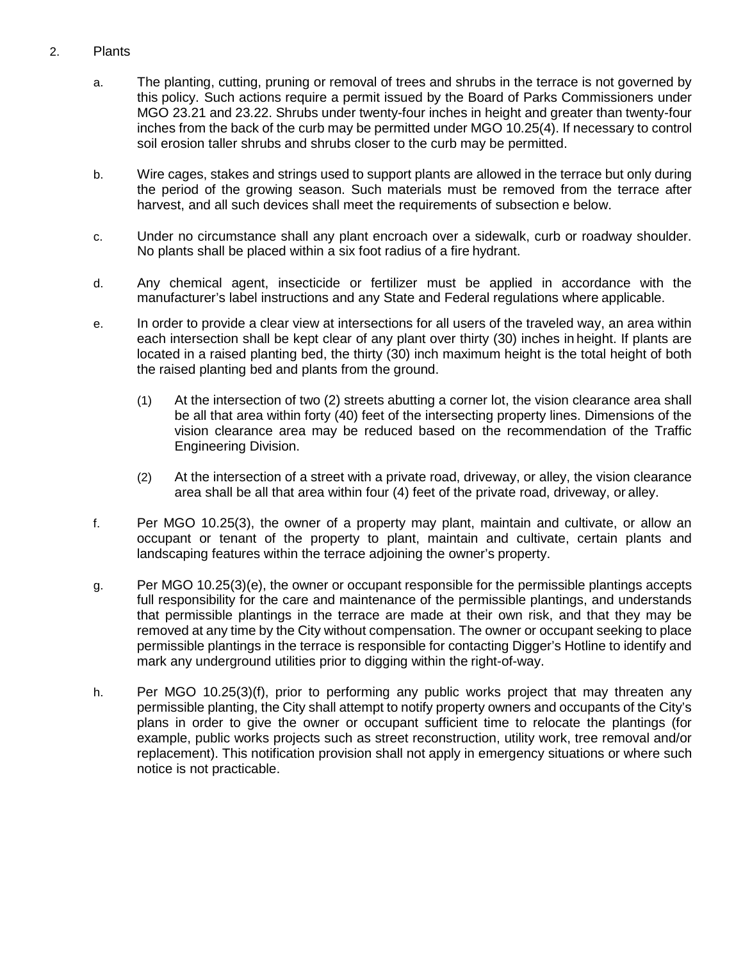## 2. Plants

- a. The planting, cutting, pruning or removal of trees and shrubs in the terrace is not governed by this policy. Such actions require a permit issued by the Board of Parks Commissioners under MGO 23.21 and 23.22. Shrubs under twenty-four inches in height and greater than twenty-four inches from the back of the curb may be permitted under MGO 10.25(4). If necessary to control soil erosion taller shrubs and shrubs closer to the curb may be permitted.
- b. Wire cages, stakes and strings used to support plants are allowed in the terrace but only during the period of the growing season. Such materials must be removed from the terrace after harvest, and all such devices shall meet the requirements of subsection e below.
- c. Under no circumstance shall any plant encroach over a sidewalk, curb or roadway shoulder. No plants shall be placed within a six foot radius of a fire hydrant.
- d. Any chemical agent, insecticide or fertilizer must be applied in accordance with the manufacturer's label instructions and any State and Federal regulations where applicable.
- e. In order to provide a clear view at intersections for all users of the traveled way, an area within each intersection shall be kept clear of any plant over thirty (30) inches in height. If plants are located in a raised planting bed, the thirty (30) inch maximum height is the total height of both the raised planting bed and plants from the ground.
	- (1) At the intersection of two (2) streets abutting a corner lot, the vision clearance area shall be all that area within forty (40) feet of the intersecting property lines. Dimensions of the vision clearance area may be reduced based on the recommendation of the Traffic Engineering Division.
	- (2) At the intersection of a street with a private road, driveway, or alley, the vision clearance area shall be all that area within four (4) feet of the private road, driveway, or alley.
- f. Per MGO 10.25(3), the owner of a property may plant, maintain and cultivate, or allow an occupant or tenant of the property to plant, maintain and cultivate, certain plants and landscaping features within the terrace adjoining the owner's property.
- g. Per MGO 10.25(3)(e), the owner or occupant responsible for the permissible plantings accepts full responsibility for the care and maintenance of the permissible plantings, and understands that permissible plantings in the terrace are made at their own risk, and that they may be removed at any time by the City without compensation. The owner or occupant seeking to place permissible plantings in the terrace is responsible for contacting Digger's Hotline to identify and mark any underground utilities prior to digging within the right-of-way.
- h. Per MGO 10.25(3)(f), prior to performing any public works project that may threaten any permissible planting, the City shall attempt to notify property owners and occupants of the City's plans in order to give the owner or occupant sufficient time to relocate the plantings (for example, public works projects such as street reconstruction, utility work, tree removal and/or replacement). This notification provision shall not apply in emergency situations or where such notice is not practicable.